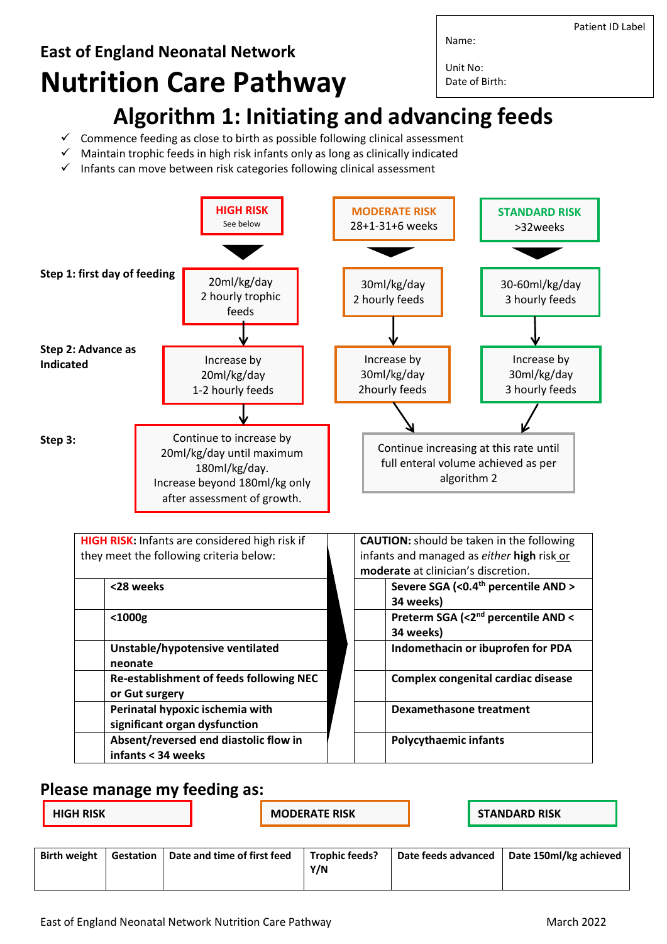**East of England Neonatal Network Nutrition Care Pathway** Name: Unit No: Date of Birth:

- **Algorithm 1: Initiating and advancing feeds**
- $\checkmark$  Commence feeding as close to birth as possible following clinical assessment
- $\checkmark$  Maintain trophic feeds in high risk infants only as long as clinically indicated
- $\checkmark$  Infants can move between risk categories following clinical assessment



## **Please manage my feeding as:**

| <b>HIGH RISK</b> |  |
|------------------|--|
|                  |  |

**HIGH RISK HIGH RISK STANDARD** RISK

| <b>Birth weight</b> | Gestation   Date and time of first feed | <b>Trophic feeds?</b> | Date feeds advanced   Date 150ml/kg achieved |
|---------------------|-----------------------------------------|-----------------------|----------------------------------------------|
|                     |                                         | Y/N                   |                                              |

Patient ID Label